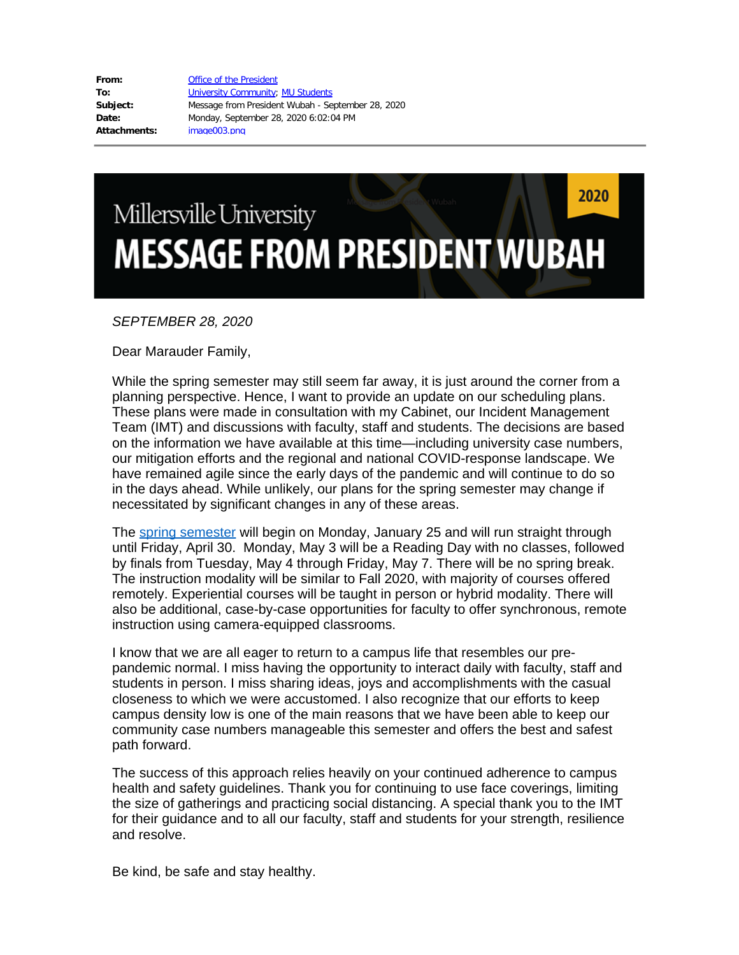| From:        | <b>Office of the President</b>                    |
|--------------|---------------------------------------------------|
| To:          | <b>University Community; MU Students</b>          |
| Subject:     | Message from President Wubah - September 28, 2020 |
| Date:        | Monday, September 28, 2020 6:02:04 PM             |
| Attachments: | image003.pnq                                      |

## 2020 Millersville University **MESSAGE FROM PRESIDENT WUBAH**

## *SEPTEMBER 28, 2020*

Dear Marauder Family,

While the spring semester may still seem far away, it is just around the corner from a planning perspective. Hence, I want to provide an update on our scheduling plans. These plans were made in consultation with my Cabinet, our Incident Management Team (IMT) and discussions with faculty, staff and students. The decisions are based on the information we have available at this time—including university case numbers, our mitigation efforts and the regional and national COVID-response landscape. We have remained agile since the early days of the pandemic and will continue to do so in the days ahead. While unlikely, our plans for the spring semester may change if necessitated by significant changes in any of these areas.

The [spring semester](https://www.millersville.edu/registrar/academic-calendar/files/calendaracyr2020-21) will begin on Monday, January 25 and will run straight through until Friday, April 30. Monday, May 3 will be a Reading Day with no classes, followed by finals from Tuesday, May 4 through Friday, May 7. There will be no spring break. The instruction modality will be similar to Fall 2020, with majority of courses offered remotely. Experiential courses will be taught in person or hybrid modality. There will also be additional, case-by-case opportunities for faculty to offer synchronous, remote instruction using camera-equipped classrooms.

I know that we are all eager to return to a campus life that resembles our prepandemic normal. I miss having the opportunity to interact daily with faculty, staff and students in person. I miss sharing ideas, joys and accomplishments with the casual closeness to which we were accustomed. I also recognize that our efforts to keep campus density low is one of the main reasons that we have been able to keep our community case numbers manageable this semester and offers the best and safest path forward.

The success of this approach relies heavily on your continued adherence to campus health and safety guidelines. Thank you for continuing to use face coverings, limiting the size of gatherings and practicing social distancing. A special thank you to the IMT for their guidance and to all our faculty, staff and students for your strength, resilience and resolve.

Be kind, be safe and stay healthy.